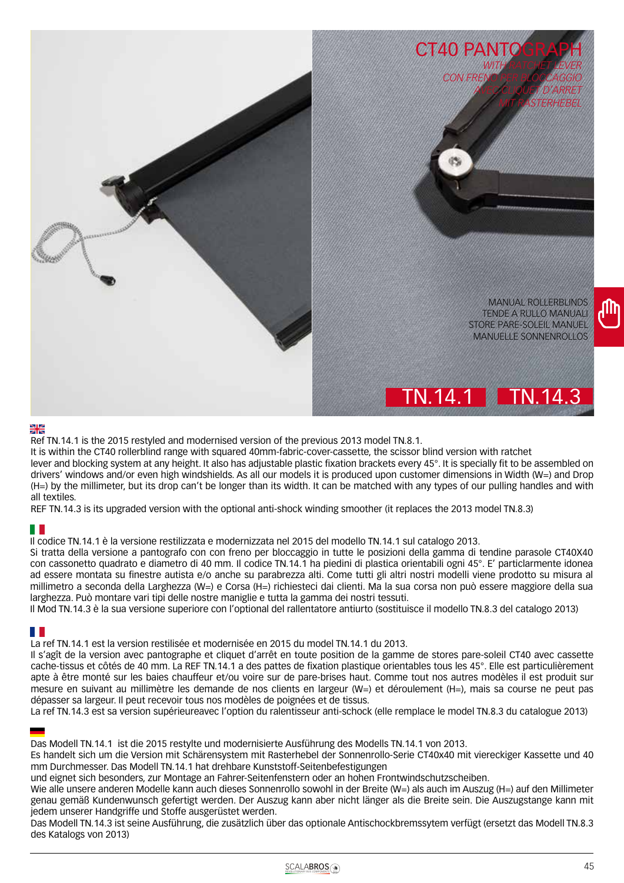

### Ж

Ref TN.14.1 is the 2015 restyled and modernised version of the previous 2013 model TN.8.1.

It is within the CT40 rollerblind range with squared 40mm-fabric-cover-cassette, the scissor blind version with ratchet lever and blocking system at any height. It also has adjustable plastic fixation brackets every 45°. It is specially fit to be assembled on drivers' windows and/or even high windshields. As all our models it is produced upon customer dimensions in Width (W=) and Drop (H=) by the millimeter, but its drop can't be longer than its width. It can be matched with any types of our pulling handles and with all textiles.

REF TN.14.3 is its upgraded version with the optional anti-shock winding smoother (it replaces the 2013 model TN.8.3)

Il codice TN.14.1 è la versione restilizzata e modernizzata nel 2015 del modello TN.14.1 sul catalogo 2013.

Si tratta della versione a pantografo con con freno per bloccaggio in tutte le posizioni della gamma di tendine parasole CT40X40 con cassonetto quadrato e diametro di 40 mm. Il codice TN.14.1 ha piedini di plastica orientabili ogni 45°. E' particlarmente idonea ad essere montata su finestre autista e/o anche su parabrezza alti. Come tutti gli altri nostri modelli viene prodotto su misura al millimetro a seconda della Larghezza (W=) e Corsa (H=) richiesteci dai clienti. Ma la sua corsa non può essere maggiore della sua larghezza. Può montare vari tipi delle nostre maniglie e tutta la gamma dei nostri tessuti.

Il Mod TN.14.3 è la sua versione superiore con l'optional del rallentatore antiurto (sostituisce il modello TN.8.3 del catalogo 2013)

## HH.

La ref TN.14.1 est la version restilisée et modernisée en 2015 du model TN.14.1 du 2013.

Il s'agît de la version avec pantographe et cliquet d'arrêt en toute position de la gamme de stores pare-soleil CT40 avec cassette cache-tissus et côtés de 40 mm. La REF TN.14.1 a des pattes de fixation plastique orientables tous les 45°. Elle est particulièrement apte à être monté sur les baies chauffeur et/ou voire sur de pare-brises haut. Comme tout nos autres modèles il est produit sur mesure en suivant au millimètre les demande de nos clients en largeur (W=) et déroulement (H=), mais sa course ne peut pas dépasser sa largeur. Il peut recevoir tous nos modèles de poignées et de tissus.

La ref TN.14.3 est sa version supérieureavec l'option du ralentisseur anti-schock (elle remplace le model TN.8.3 du catalogue 2013)

Das Modell TN.14.1 ist die 2015 restylte und modernisierte Ausführung des Modells TN.14.1 von 2013.

Es handelt sich um die Version mit Schärensystem mit Rasterhebel der Sonnenrollo-Serie CT40x40 mit viereckiger Kassette und 40 mm Durchmesser. Das Modell TN.14.1 hat drehbare Kunststoff-Seitenbefestigungen

und eignet sich besonders, zur Montage an Fahrer-Seitenfenstern oder an hohen Frontwindschutzscheiben.

Wie alle unsere anderen Modelle kann auch dieses Sonnenrollo sowohl in der Breite (W=) als auch im Auszug (H=) auf den Millimeter genau gemäß Kundenwunsch gefertigt werden. Der Auszug kann aber nicht länger als die Breite sein. Die Auszugstange kann mit jedem unserer Handgriffe und Stoffe ausgerüstet werden.

Das Modell TN.14.3 ist seine Ausführung, die zusätzlich über das optionale Antischockbremssytem verfügt (ersetzt das Modell TN.8.3 des Katalogs von 2013)